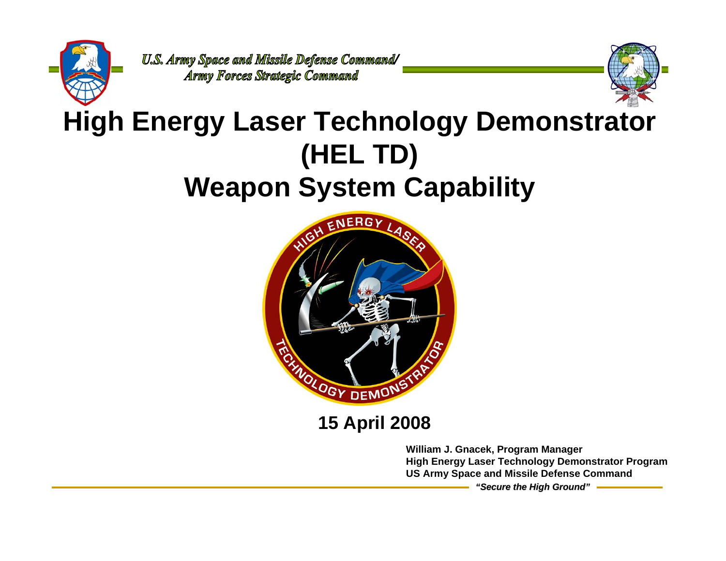



# **High Energy Laser Technology Demonstrator (HEL TD) Weapon System Capability**



### **15 April 2008**

**William J. Gnacek, Program Manager High Energy Laser Technology Demonstrator Program US Army Space and Missile Defense Command**

*"Secure the High Ground"*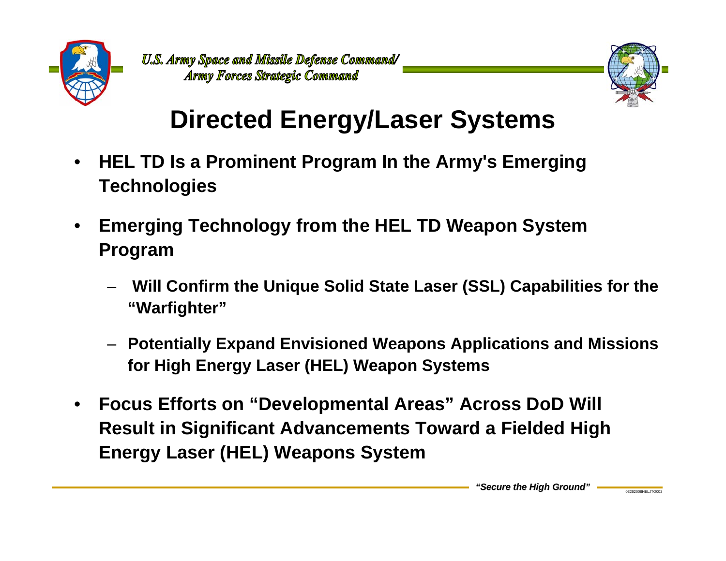



# **Directed Energy/Laser Systems**

- • **HEL TD Is a Prominent Program In the Army's Emerging Technologies**
- • **Emerging Technology from the HEL TD Weapon System Program** 
	- – **Will Confirm the Unique Solid State Laser (SSL) Capabilities for the "Warfighter"**
	- **Potentially Expand Envisioned Weapons Applications and Missions for High Energy Laser (HEL) Weapon Systems**
- • **Focus Efforts on "Developmental Areas" Across DoD Will Result in Significant Advancements Toward a Fielded High Energy Laser (HEL) Weapons System**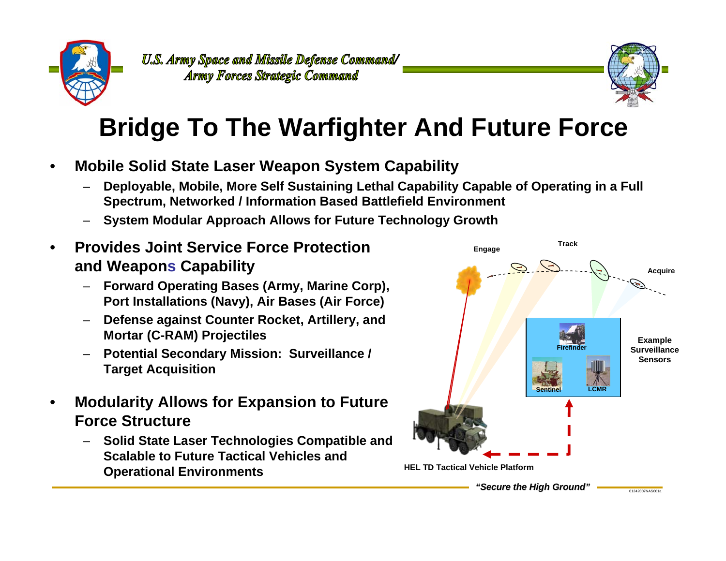



# **Bridge To The Warfighter And Future Force**

- • **Mobile Solid State Laser Weapon System Capability**
	- **Deployable, Mobile, More Self Sustaining Lethal Capability Capable of Operating in a Full Spectrum, Networked / Information Based Battlefield Environment**
	- –**System Modular Approach Allows for Future Technology Growth**
- • **Provides Joint Service Force Protection and Weapons Capability**
	- **Forward Operating Bases (Army, Marine Corp), Port Installations (Navy), Air Bases (Air Force)**
	- – **Defense against Counter Rocket, Artillery, and Mortar (C-RAM) Projectiles**
	- **Potential Secondary Mission: Surveillance / Target Acquisition**
- • **Modularity Allows for Expansion to Future Force Structure**
	- **Solid State Laser Technologies Compatible and Scalable to Future Tactical Vehicles andOperational Environments**

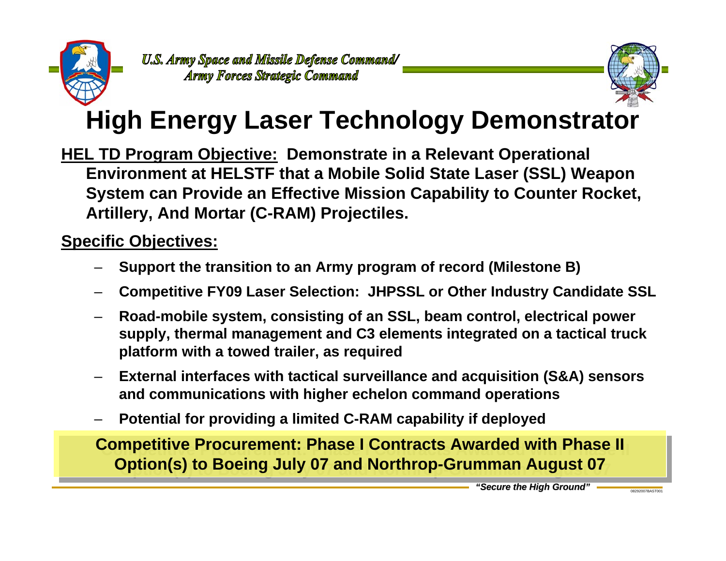



## **High Energy Laser Technology Demonstrator**

**HEL TD Program Objective: Demonstrate in a Relevant Operational Environment at HELSTF that a Mobile Solid State Laser (SSL) Weapon System can Provide an Effective Mission Capability to Counter Rocket, Artillery, And Mortar (C-RAM) Projectiles.** 

#### **Specific Objectives:**

- –**Support the transition to an Army program of record (Milestone B)**
- –**Competitive FY09 Laser Selection: JHPSSL or Other Industry Candidate SSL**
- – **Road-mobile system, consisting of an SSL, beam control, electrical power supply, thermal management and C3 elements integrated on a tactical truck platform with a towed trailer, as required**
- – **External interfaces with tactical surveillance and acquisition (S&A) sensors and communications with higher echelon command operations**
- –**Potential for providing a limited C-RAM capability if deployed**

**Competitive Procurement: Phase I Contracts Awarded with Phase II Option(s) to Boeing July 07 and Northrop-Grumman August 07 Option(s) to Boeing July 07 and Northrop-Grumman August 07**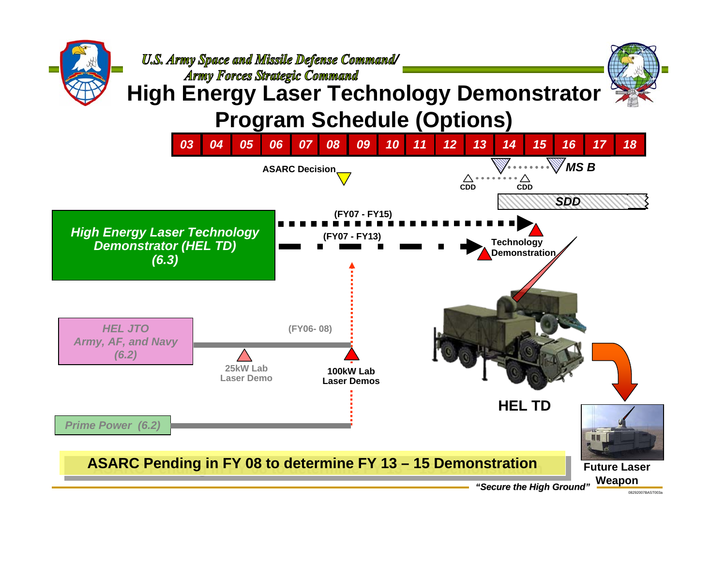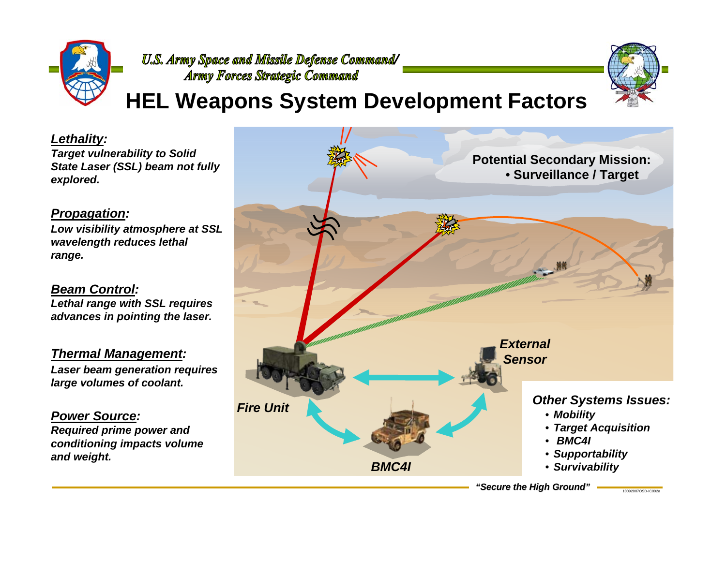

## **HEL Weapons System Development Factors**

*Lethality: Target vulnerability to Solid State Laser (SSL) beam not fully explored.*

#### *Propagation:*

*Low visibility atmosphere at SSL wavelength reduces lethal range.*

*Beam Control:Lethal range with SSL requires advances in pointing the laser.*

*Thermal Management: Laser beam generation requires large volumes of coolant.*

*Power Source:Required prime power and conditioning impacts volume and weight.*



*"Secure the High Ground"*

10092007OSD-IC002a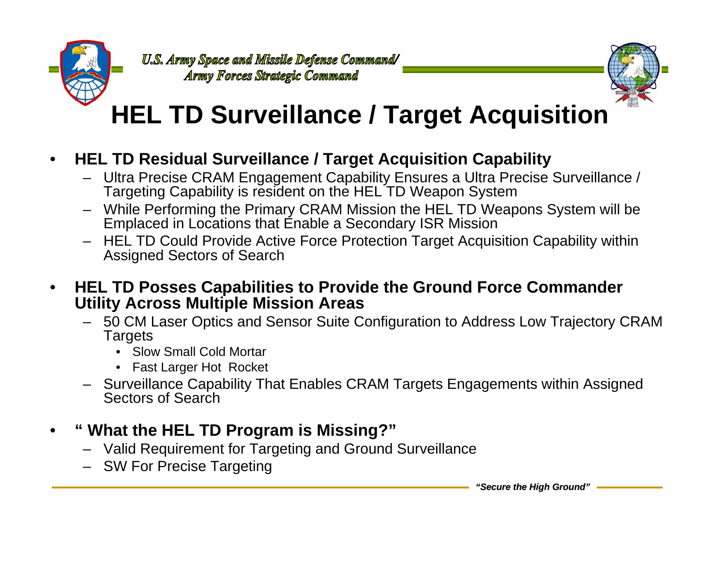



# **HEL TD Surveillance / Target Acquisition**

- • **HEL TD Residual Surveillance / Target Acquisition Capability**
	- Ultra Precise CRAM Engagement Capability Ensures a Ultra Precise Surveillance / Targeting Capability is resident on the HEL TD Weapon System
	- While Performing the Primary CRAM Mission the HEL TD Weapons System will be Emplaced in Locations that Enable a Secondary ISR Mission
	- – HEL TD Could Provide Active Force Protection Target Acquisition Capability within Assigned Sectors of Search
- • **HEL TD Posses Capabilities to Provide the Ground Force Commander Utility Across Multiple Mission Areas**
	- 50 CM Laser Optics and Sensor Suite Configuration to Address Low Trajectory CRAM **Targets** 
		- Slow Small Cold Mortar
		- Fast Larger Hot Rocket
	- Surveillance Capability That Enables CRAM Targets Engagements within Assigned Sectors of Search
- • **" What the HEL TD Program is Missing?"** 
	- Valid Requirement for Targeting and Ground Surveillance
	- SW For Precise Targeting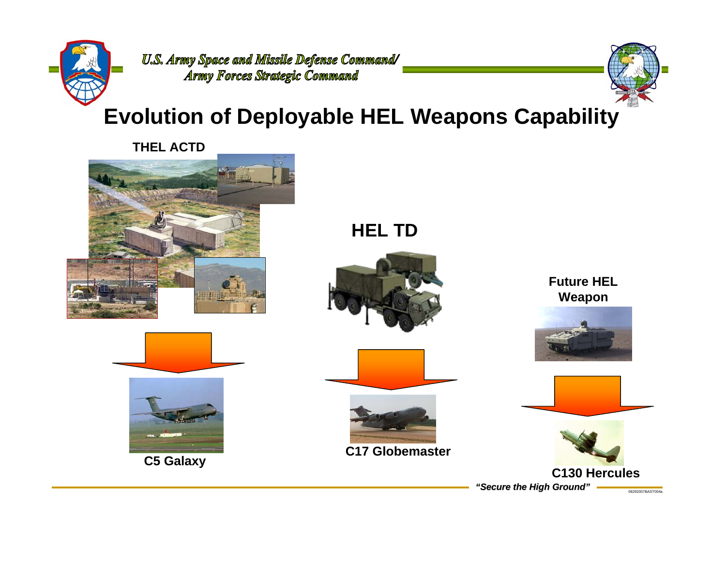



## **Evolution of Deployable HEL Weapons Capability**

**THEL ACTD**







**C5 Galaxy**

**HEL TD**







**C17 Globemaster**

**Future HEL Weapon**





*"Secure the High Ground"*

08292007BAST004a